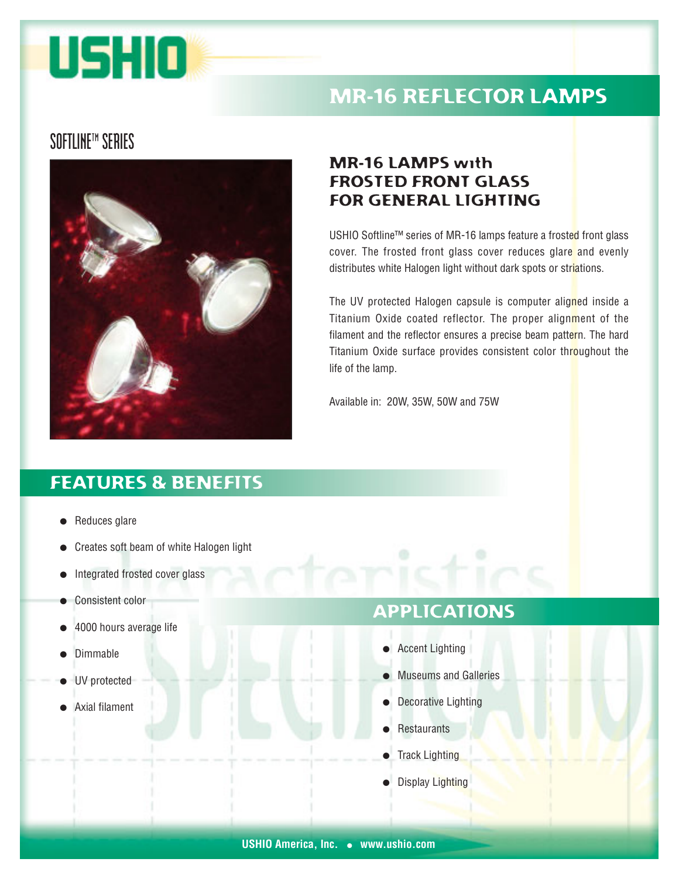# USHIO

## MR-16 REFLECTOR LAMPS

#### **SOFTLINE™ SERIES**



#### MR-16 LAMPS with FROSTED FRONT GLASS FOR GENERAL LIGHTING

USHIO Softline™ series of MR-16 lamps feature a frosted front glass cover. The frosted front glass cover reduces glare and evenly distributes white Halogen light without dark spots or striations.

The UV protected Halogen capsule is computer aligned inside a Titanium Oxide coated reflector. The proper alignment of the filament and the reflector ensures a precise beam pattern. The hard Titanium Oxide surface provides consistent color throughout the life of the lamp.

Available in: 20W, 35W, 50W and 75W

#### FEATURES & BENEFITS

- Reduces glare
- Creates soft beam of white Halogen light
- Integrated frosted cover glass
- Consistent color
- 4000 hours average life
- **Dimmable**
- UV protected
- Axial filament

#### APPLICATIONS

- Accent Lighting
- Museums and Galleries
- **Decorative Lighting**
- **Restaurants**
- **Track Lighting**
- **Display Lighting**